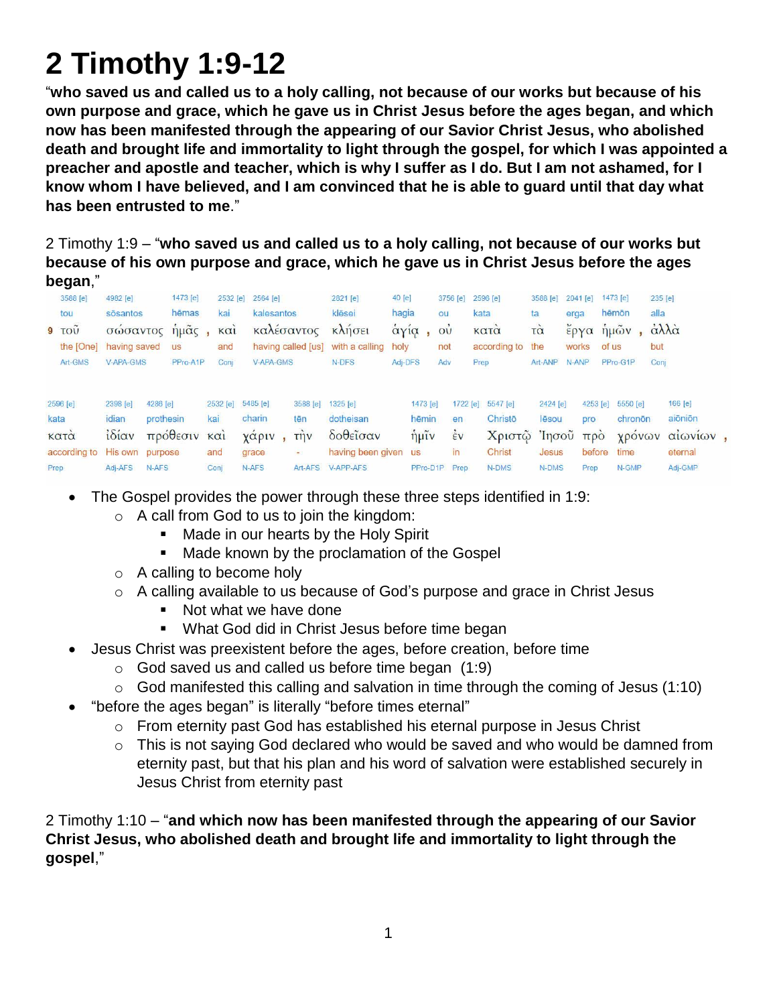## **2 Timothy 1:9-12**

"**who saved us and called us to a holy calling, not because of our works but because of his own purpose and grace, which he gave us in Christ Jesus before the ages began, and which now has been manifested through the appearing of our Savior Christ Jesus, who abolished death and brought life and immortality to light through the gospel, for which I was appointed a preacher and apostle and teacher, which is why I suffer as I do. But I am not ashamed, for I know whom I have believed, and I am convinced that he is able to guard until that day what has been entrusted to me**."

2 Timothy 1:9 – "**who saved us and called us to a holy calling, not because of our works but because of his own purpose and grace, which he gave us in Christ Jesus before the ages began**,"

| 3588 [e]<br>tou<br>$9 - TQU$<br>the [One]<br>Art-GMS | 4982 [e]<br>sōsantos<br>having saved<br>V-APA-GMS   | σώσαντος ήμας, και<br><b>US</b>                                   | 1473 [e]<br>hēmas<br>PPro-A1P | 2532 [e]<br>kai<br>and<br>Conj | 2564 [e]<br>kalesantos<br>V-APA-GMS                  |                           | 2821 [e]<br>klēsei<br>καλέσαντος κλήσει<br>having called [us] with a calling holy<br>N-DFS | 40 [e]<br>hagia<br>άγία, ού<br>Adj-DFS             | 3756 [e]<br>ou<br>not<br>Adv                | 2596 [e]<br>kata<br>κατα<br>Prep | according to the                                           | 3588 [e]<br>ta<br>τà<br>Art-ANP     | $2041$ [e]<br>erga<br>works<br>N-ANP | of us | 1473 [e]<br>hēmōn<br>έργα ήμῶν,<br>PPro-G1P | 235 [e]<br>alla<br>άλλά<br>but<br>Conj |                                                             |  |
|------------------------------------------------------|-----------------------------------------------------|-------------------------------------------------------------------|-------------------------------|--------------------------------|------------------------------------------------------|---------------------------|--------------------------------------------------------------------------------------------|----------------------------------------------------|---------------------------------------------|----------------------------------|------------------------------------------------------------|-------------------------------------|--------------------------------------|-------|---------------------------------------------|----------------------------------------|-------------------------------------------------------------|--|
| 2596 [e]<br>kata<br>κατά<br>according to<br>Prep     | 2398 [e]<br>idian<br>$i\delta i\alpha v$<br>Adj-AFS | 4286 [e]<br>prothesin<br>πρόθεσιν και<br>His own purpose<br>N-AFS | kai<br>and                    | 2532 [e]<br>Conj               | $5485$ [e]<br>charin<br>χάριν, την<br>grace<br>N-AFS | 3588 [e]<br>tēn<br>$\sim$ | $1325$ [e]<br>dotheisan<br>δοθεΐσαν<br>having been given us<br>Art-AFS V-APP-AFS           | 1473 [e]<br>hēmin<br>$\hat{\eta}$ $\mu\tilde{\nu}$ | en<br>$\frac{1}{2}v$<br>in<br>PPro-D1P Prep | 1722 [e]                         | 5547 [e]<br>Christo<br>Χριστῷ Ἰησοῦ πρὸ<br>Christ<br>N-DMS | 2424 [e]<br>lēsou<br>Jesus<br>N-DMS | 4253 [e]<br>pro<br>before<br>Prep    |       | 5550 [e]<br>chronon<br>time<br>N-GMP        |                                        | 166 [e]<br>aiōniōn<br>χρόνων αίωνίων,<br>eternal<br>Adj-GMP |  |

- The Gospel provides the power through these three steps identified in 1:9:
	- $\circ$  A call from God to us to join the kingdom:
		- Made in our hearts by the Holy Spirit
		- **Made known by the proclamation of the Gospel**
	- o A calling to become holy
	- o A calling available to us because of God's purpose and grace in Christ Jesus
		- Not what we have done
		- What God did in Christ Jesus before time began
- Jesus Christ was preexistent before the ages, before creation, before time
	- $\circ$  God saved us and called us before time began  $(1:9)$
	- $\circ$  God manifested this calling and salvation in time through the coming of Jesus (1:10)
	- "before the ages began" is literally "before times eternal"
		- o From eternity past God has established his eternal purpose in Jesus Christ
		- $\circ$  This is not saying God declared who would be saved and who would be damned from eternity past, but that his plan and his word of salvation were established securely in Jesus Christ from eternity past

2 Timothy 1:10 – "**and which now has been manifested through the appearing of our Savior Christ Jesus, who abolished death and brought life and immortality to light through the gospel**,"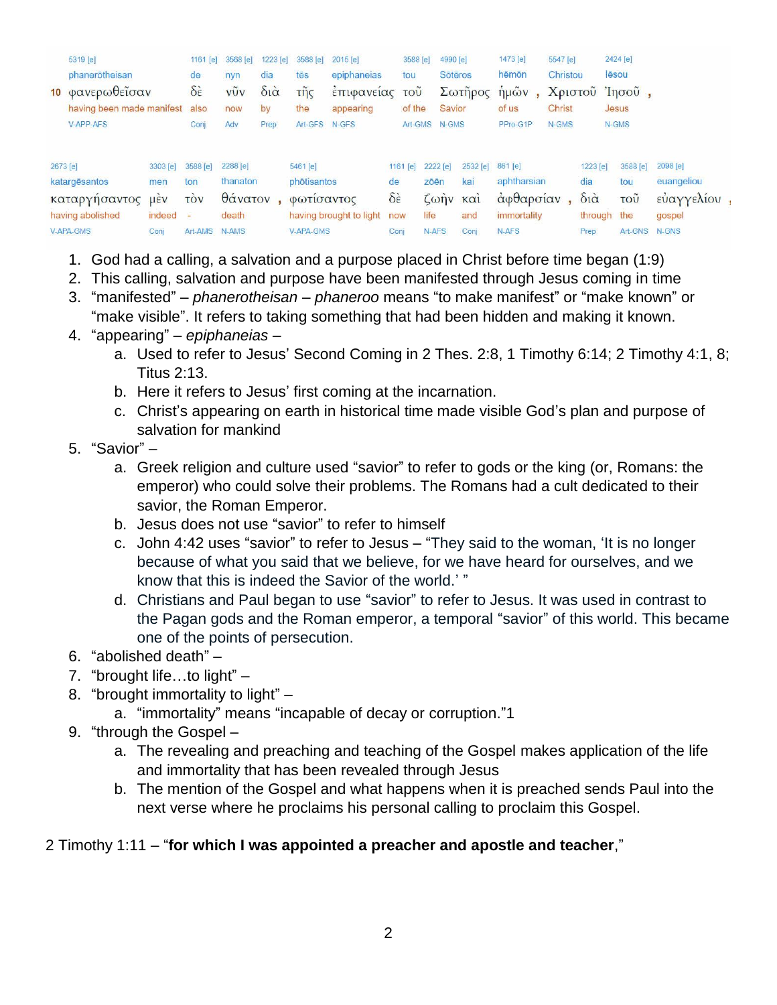|          | 5319 [e]                  |                          | 1161 $[e]$               | 3568 [e] | 1223 [e]               | 3588 [e]         | 2015 [e]                |                         | 3588 [e] | 4990 [e]       |          | 1473 [e]                            | 5547 [e]      |                        | 2424 [e]                  |             |  |
|----------|---------------------------|--------------------------|--------------------------|----------|------------------------|------------------|-------------------------|-------------------------|----------|----------------|----------|-------------------------------------|---------------|------------------------|---------------------------|-------------|--|
|          | phanerotheisan            |                          | de                       | nyn      | dia                    | tēs              | epiphaneias             | tou                     |          | <b>Sötēros</b> |          | hēmōn                               | Christou      |                        | lēsou                     |             |  |
|          | 10 φανερωθεΐσαν           |                          | $\delta \dot{\epsilon}$  | vũv      | $\delta i\dot{\alpha}$ | τῆς              | επιφανειας              | τοῦ                     |          |                | Σωτήρος  | $\hat{\eta} \mu \tilde{\omega} \nu$ |               |                        | Χριστοῦ Ἰησοῦ,            |             |  |
|          | having been made manifest |                          | also                     | now      | by                     | the              | appearing               | of the                  |          | <b>Savior</b>  |          | of us                               | <b>Christ</b> |                        | Jesus                     |             |  |
|          | V-APP-AFS                 |                          | Conj                     | Adv      | Prep                   | Art-GFS          | $N$ -GFS                |                         | Art-GMS  | N-GMS          |          | PPro-G1P                            | N-GMS         |                        | N-GMS                     |             |  |
|          |                           |                          |                          |          |                        |                  |                         |                         |          |                |          |                                     |               |                        |                           |             |  |
| 2673 [e] |                           | 3303 [e]                 | 3588 [e]                 | 2288 [e] |                        | 5461 [e]         |                         | 1161 [e]                | 2222 [e] |                | 2532 [e] | 861 [e]                             |               | 1223 [e]               | 3588 [e]                  | 2098 [e]    |  |
|          | katargēsantos             | men                      | ton                      | thanaton |                        | phōtisantos      |                         | de                      | zōēn     |                | kai      | aphtharsian                         |               | dia                    | tou                       | euangeliou  |  |
|          | καταργησαντος             | $\mu$ <sub>E</sub> $\nu$ | <b>TOV</b>               | θάνατον  |                        | Φωτισαντος       |                         | $\delta \dot{\epsilon}$ |          |                | ζωήν και | αφθαρσίαν                           |               | $\delta i\dot{\alpha}$ | $\overline{\mathrm{TOU}}$ | εύαγγελίου, |  |
|          | having abolished          | indeed                   | $\overline{\phantom{a}}$ | death    |                        |                  | having brought to light | now                     | life     |                | and      | immortality                         |               |                        | through the               | gospel      |  |
|          | V-APA-GMS                 | Conj                     | Art-AMS                  | N-AMS    |                        | <b>V-APA-GMS</b> |                         | Conj                    | N-AFS    |                | Conj     | N-AFS                               |               | Prep                   | Art-GNS                   | N-GNS       |  |

- 1. God had a calling, a salvation and a purpose placed in Christ before time began (1:9)
- 2. This calling, salvation and purpose have been manifested through Jesus coming in time
- 3. "manifested" *phanerotheisan phaneroo* means "to make manifest" or "make known" or "make visible". It refers to taking something that had been hidden and making it known.
- 4. "appearing" *epiphaneias*
	- a. Used to refer to Jesus' Second Coming in 2 Thes. 2:8, 1 Timothy 6:14; 2 Timothy 4:1, 8; Titus 2:13.
	- b. Here it refers to Jesus' first coming at the incarnation.
	- c. Christ's appearing on earth in historical time made visible God's plan and purpose of salvation for mankind

## 5. "Savior" –

- a. Greek religion and culture used "savior" to refer to gods or the king (or, Romans: the emperor) who could solve their problems. The Romans had a cult dedicated to their savior, the Roman Emperor.
- b. Jesus does not use "savior" to refer to himself
- c. John 4:42 uses "savior" to refer to Jesus "They said to the woman, 'It is no longer because of what you said that we believe, for we have heard for ourselves, and we know that this is indeed the Savior of the world.' "
- d. Christians and Paul began to use "savior" to refer to Jesus. It was used in contrast to the Pagan gods and the Roman emperor, a temporal "savior" of this world. This became one of the points of persecution.
- 6. "abolished death" –
- 7. "brought life…to light" –
- 8. "brought immortality to light"
	- a. "immortality" means "incapable of decay or corruption."1
- 9. "through the Gospel
	- a. The revealing and preaching and teaching of the Gospel makes application of the life and immortality that has been revealed through Jesus
	- b. The mention of the Gospel and what happens when it is preached sends Paul into the next verse where he proclaims his personal calling to proclaim this Gospel.

## 2 Timothy 1:11 – "**for which I was appointed a preacher and apostle and teacher**,"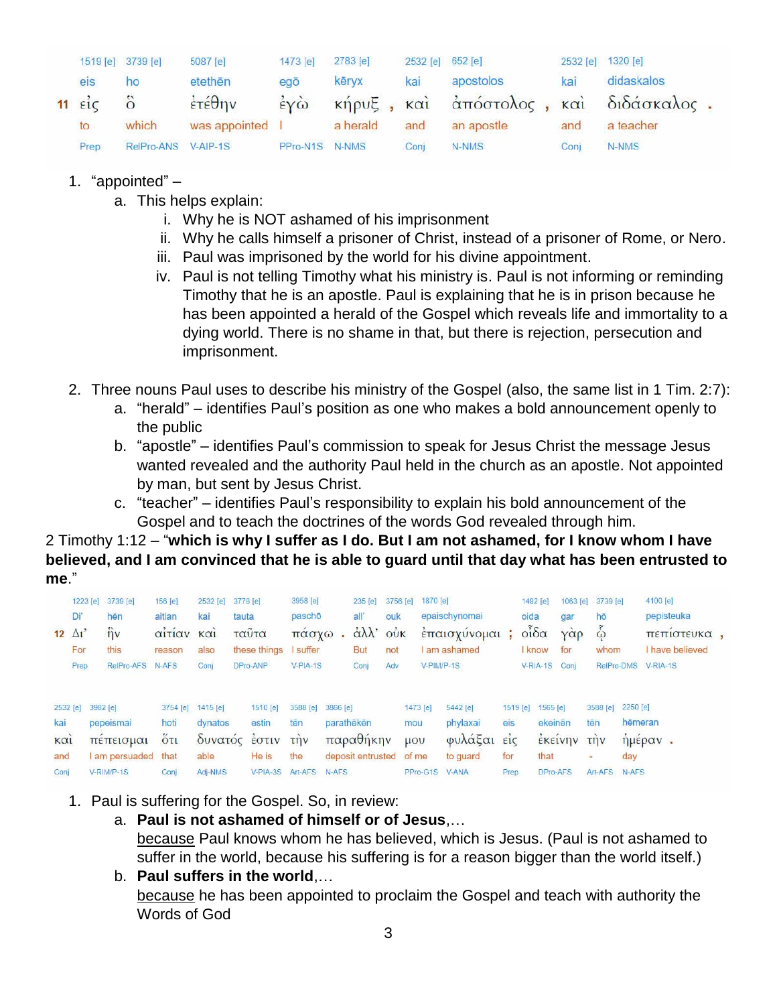|                       |      | 1519 [e] 3739 [e]   | 5087 [e]               | 1473 [e]                               | 2783 [e] | 2532 [e] 652 [e] |                                       |      | 2532 [e] 1320 [e] |  |
|-----------------------|------|---------------------|------------------------|----------------------------------------|----------|------------------|---------------------------------------|------|-------------------|--|
|                       | eis  | ho                  | etethēn                | egō                                    | kēryx    | kai              | apostolos                             | kai  | didaskalos        |  |
| $11 \quad \text{etc}$ |      |                     | $\dot{\epsilon}$ τέθην | $\dot{\epsilon}$ $\gamma \dot{\omega}$ |          |                  | κήρυξ, και άπόστολος, και διδάσκαλος. |      |                   |  |
|                       | to   | which               | was appointed          |                                        | a herald | and              | an apostle                            | and  | a teacher         |  |
|                       | Prep | RelPro-ANS V-AIP-1S |                        | PPro-N1S N-NMS                         |          | Conj             | N-NMS                                 | Coni | N-NMS             |  |

- 1. "appointed"
	- a. This helps explain:
		- i. Why he is NOT ashamed of his imprisonment
		- ii. Why he calls himself a prisoner of Christ, instead of a prisoner of Rome, or Nero.
		- iii. Paul was imprisoned by the world for his divine appointment.
		- iv. Paul is not telling Timothy what his ministry is. Paul is not informing or reminding Timothy that he is an apostle. Paul is explaining that he is in prison because he has been appointed a herald of the Gospel which reveals life and immortality to a dying world. There is no shame in that, but there is rejection, persecution and imprisonment.
- 2. Three nouns Paul uses to describe his ministry of the Gospel (also, the same list in 1 Tim. 2:7):
	- a. "herald" identifies Paul's position as one who makes a bold announcement openly to the public
	- b. "apostle" identifies Paul's commission to speak for Jesus Christ the message Jesus wanted revealed and the authority Paul held in the church as an apostle. Not appointed by man, but sent by Jesus Christ.
	- c. "teacher" identifies Paul's responsibility to explain his bold announcement of the Gospel and to teach the doctrines of the words God revealed through him.

2 Timothy 1:12 – "**which is why I suffer as I do. But I am not ashamed, for I know whom I have believed, and I am convinced that he is able to guard until that day what has been entrusted to me**."

|                 |              | 1223 [e] 3739 [e]     | 156 [e]                                                | 2532 [e]              | 3778 [e]          | 3958 [e]        |          | 235 [e]                | 3756 [e]                                   | 1870 [e]        |                      |                 | 1492 [e]                    | 1063 [e]              | 3739 [e]               |                     | 4100 [e]        |  |
|-----------------|--------------|-----------------------|--------------------------------------------------------|-----------------------|-------------------|-----------------|----------|------------------------|--------------------------------------------|-----------------|----------------------|-----------------|-----------------------------|-----------------------|------------------------|---------------------|-----------------|--|
|                 | Di'          | hēn                   | aitian                                                 | kai                   | tauta             | paschō          |          | all                    | ouk                                        |                 | epaischynomai        |                 | oida                        | gar                   | hō                     |                     | pepisteuka      |  |
|                 | $12 \Delta1$ | $\hat{\eta}$          | αιτιαν                                                 | KQ1                   | ταυτα             | πασγω           |          | $\alpha\lambda\lambda$ | $0\overset{\bullet}{\mathsf{u}}\mathsf{K}$ |                 | έπαισχύνομαι         | ÷               | $o^{\tilde{i}}\delta\alpha$ | YQQ                   | $\tilde{\dot{\omega}}$ |                     | πεπιστευκα.     |  |
|                 | For          | this                  | reason                                                 | also                  | these things      | suffer          |          | <b>But</b>             | not                                        |                 | am ashamed           |                 | know                        | for                   | whom                   |                     | I have believed |  |
|                 | Prep         | RelPro-AFS            | N-AFS                                                  | Conj                  | DPro-ANP          | $V-PIA-1S$      |          | Conj                   | Adv                                        | $V-PIM/P-1S$    |                      |                 | V-RIA-1S Conj               |                       | RelPro-DMS             |                     | <b>V-RIA-1S</b> |  |
| 2532 [e]<br>kai |              | 3982 [e]<br>pepeismai | 3754 [e]<br>hoti                                       | $1415$ [e]<br>dynatos | 1510 [e]<br>estin | 3588 [e]<br>tēn | 3866 [e] | parathēkēn             |                                            | 1473 [e]<br>mou | 5442 [e]<br>phylaxai | 1519 [e]<br>eis | 1565 [e]<br>ekeinēn         |                       | 3588 [e]<br>tēn        | 2250 [e]<br>hēmeran |                 |  |
|                 |              |                       |                                                        |                       |                   |                 |          |                        |                                            |                 |                      |                 |                             |                       |                        |                     |                 |  |
| KCI             |              | πεπεισμαι             | $\ddot{\mathrm{o}}$ <sub><math>\mathrm{t}</math></sub> |                       | δυνατός έστιν     | $\vec{m}$       |          | παραθήκην              |                                            | $\mu$ ov        | φυλάξαι είς          |                 |                             | <b><i>EKELVIV</i></b> | <b>Thv</b>             |                     | ημεραν.         |  |
| and             |              | am persuaded that     |                                                        | able                  | He is             | the             |          | deposit entrusted      |                                            | of me           | to guard             | for             | that                        |                       |                        | day                 |                 |  |
| Conj            |              | V-RIM/P-1S            | Conj                                                   | Adj-NMS               | V-PIA-3S          | Art-AFS         | N-AFS    |                        |                                            | PPro-G1S        | V-ANA                | Prep            | DPro-AFS                    |                       | Art-AFS                | N-AFS               |                 |  |

- 1. Paul is suffering for the Gospel. So, in review:
	- a. **Paul is not ashamed of himself or of Jesus**,…

because Paul knows whom he has believed, which is Jesus. (Paul is not ashamed to suffer in the world, because his suffering is for a reason bigger than the world itself.) b. **Paul suffers in the world**,…

because he has been appointed to proclaim the Gospel and teach with authority the Words of God